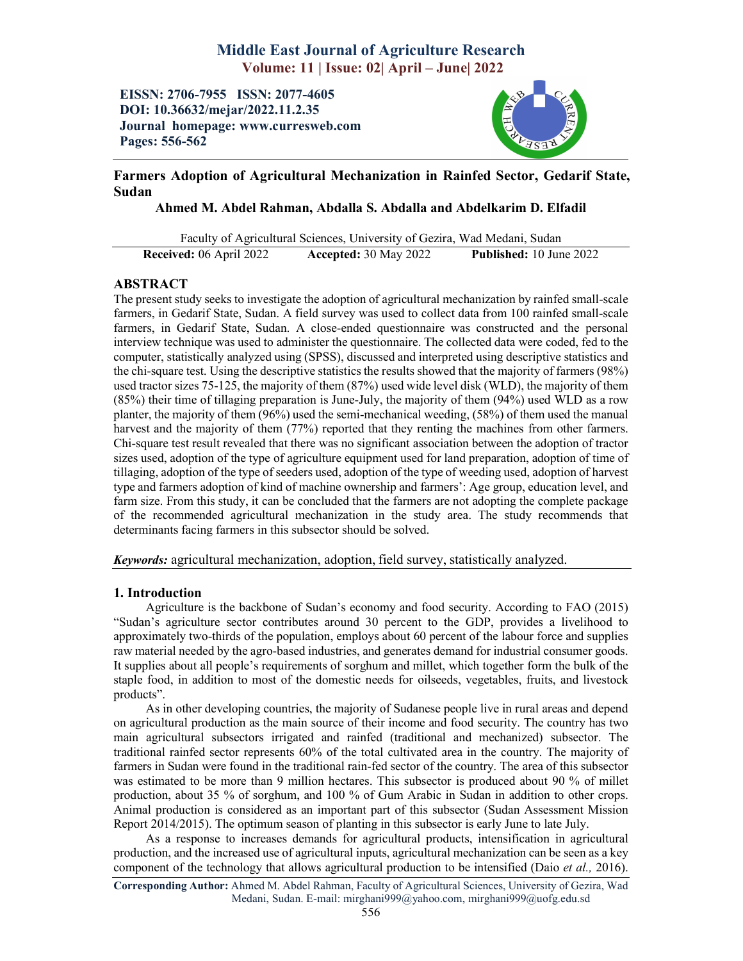# Middle East Journal of Agriculture Research Volume: 11 | Issue: 02| April – June| 2022

EISSN: 2706-7955 ISSN: 2077-4605 DOI: 10.36632/mejar/2022.11.2.35 Journal homepage: www.curresweb.com Pages: 556-562



# Farmers Adoption of Agricultural Mechanization in Rainfed Sector, Gedarif State, Sudan

Ahmed M. Abdel Rahman, Abdalla S. Abdalla and Abdelkarim D. Elfadil

Faculty of Agricultural Sciences, University of Gezira, Wad Medani, Sudan Received: 06 April 2022 Accepted: 30 May 2022 Published: 10 June 2022

## ABSTRACT

The present study seeks to investigate the adoption of agricultural mechanization by rainfed small-scale farmers, in Gedarif State, Sudan. A field survey was used to collect data from 100 rainfed small-scale farmers, in Gedarif State, Sudan. A close-ended questionnaire was constructed and the personal interview technique was used to administer the questionnaire. The collected data were coded, fed to the computer, statistically analyzed using (SPSS), discussed and interpreted using descriptive statistics and the chi-square test. Using the descriptive statistics the results showed that the majority of farmers (98%) used tractor sizes 75-125, the majority of them (87%) used wide level disk (WLD), the majority of them (85%) their time of tillaging preparation is June-July, the majority of them (94%) used WLD as a row planter, the majority of them (96%) used the semi-mechanical weeding, (58%) of them used the manual harvest and the majority of them (77%) reported that they renting the machines from other farmers. Chi-square test result revealed that there was no significant association between the adoption of tractor sizes used, adoption of the type of agriculture equipment used for land preparation, adoption of time of tillaging, adoption of the type of seeders used, adoption of the type of weeding used, adoption of harvest type and farmers adoption of kind of machine ownership and farmers': Age group, education level, and farm size. From this study, it can be concluded that the farmers are not adopting the complete package of the recommended agricultural mechanization in the study area. The study recommends that determinants facing farmers in this subsector should be solved.

*Keywords:* agricultural mechanization, adoption, field survey, statistically analyzed.

### 1. Introduction

Agriculture is the backbone of Sudan's economy and food security. According to FAO (2015) "Sudan's agriculture sector contributes around 30 percent to the GDP, provides a livelihood to approximately two-thirds of the population, employs about 60 percent of the labour force and supplies raw material needed by the agro-based industries, and generates demand for industrial consumer goods. It supplies about all people's requirements of sorghum and millet, which together form the bulk of the staple food, in addition to most of the domestic needs for oilseeds, vegetables, fruits, and livestock products".

As in other developing countries, the majority of Sudanese people live in rural areas and depend on agricultural production as the main source of their income and food security. The country has two main agricultural subsectors irrigated and rainfed (traditional and mechanized) subsector. The traditional rainfed sector represents 60% of the total cultivated area in the country. The majority of farmers in Sudan were found in the traditional rain-fed sector of the country. The area of this subsector was estimated to be more than 9 million hectares. This subsector is produced about 90 % of millet production, about 35 % of sorghum, and 100 % of Gum Arabic in Sudan in addition to other crops. Animal production is considered as an important part of this subsector (Sudan Assessment Mission Report 2014/2015). The optimum season of planting in this subsector is early June to late July.

As a response to increases demands for agricultural products, intensification in agricultural production, and the increased use of agricultural inputs, agricultural mechanization can be seen as a key component of the technology that allows agricultural production to be intensified (Daio *et al.,* 2016).

Corresponding Author: Ahmed M. Abdel Rahman, Faculty of Agricultural Sciences, University of Gezira, Wad Medani, Sudan. E-mail: mirghani999@yahoo.com, mirghani999@uofg.edu.sd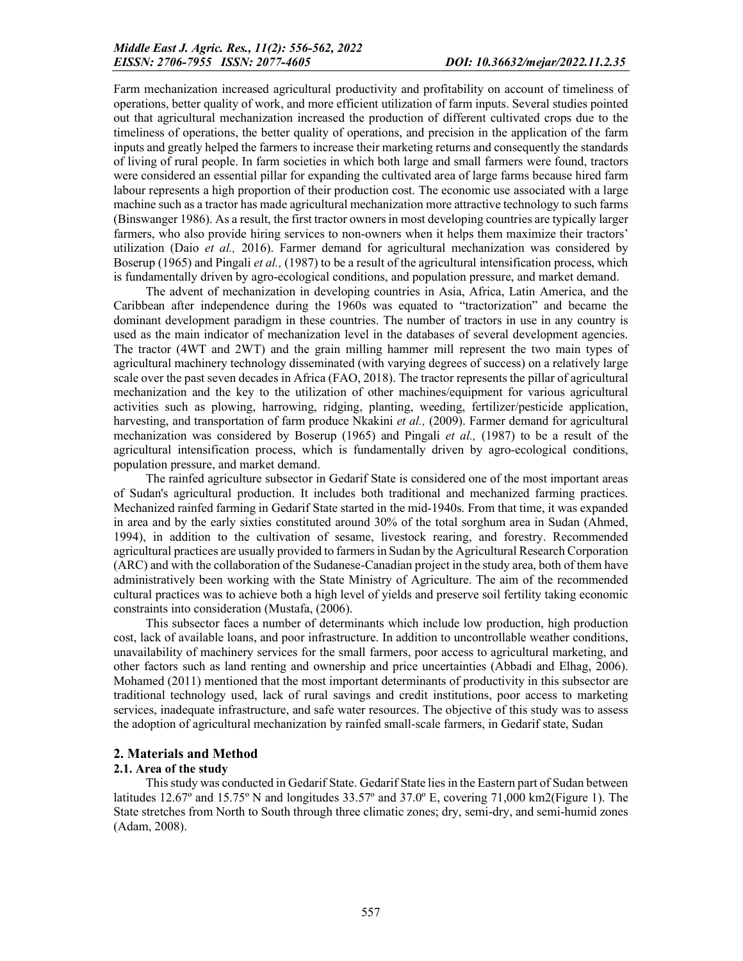Farm mechanization increased agricultural productivity and profitability on account of timeliness of operations, better quality of work, and more efficient utilization of farm inputs. Several studies pointed out that agricultural mechanization increased the production of different cultivated crops due to the timeliness of operations, the better quality of operations, and precision in the application of the farm inputs and greatly helped the farmers to increase their marketing returns and consequently the standards of living of rural people. In farm societies in which both large and small farmers were found, tractors were considered an essential pillar for expanding the cultivated area of large farms because hired farm labour represents a high proportion of their production cost. The economic use associated with a large machine such as a tractor has made agricultural mechanization more attractive technology to such farms (Binswanger 1986). As a result, the first tractor owners in most developing countries are typically larger farmers, who also provide hiring services to non-owners when it helps them maximize their tractors' utilization (Daio *et al.,* 2016). Farmer demand for agricultural mechanization was considered by Boserup (1965) and Pingali *et al.,* (1987) to be a result of the agricultural intensification process, which is fundamentally driven by agro-ecological conditions, and population pressure, and market demand.

The advent of mechanization in developing countries in Asia, Africa, Latin America, and the Caribbean after independence during the 1960s was equated to "tractorization" and became the dominant development paradigm in these countries. The number of tractors in use in any country is used as the main indicator of mechanization level in the databases of several development agencies. The tractor (4WT and 2WT) and the grain milling hammer mill represent the two main types of agricultural machinery technology disseminated (with varying degrees of success) on a relatively large scale over the past seven decades in Africa (FAO, 2018). The tractor represents the pillar of agricultural mechanization and the key to the utilization of other machines/equipment for various agricultural activities such as plowing, harrowing, ridging, planting, weeding, fertilizer/pesticide application, harvesting, and transportation of farm produce Nkakini *et al.,* (2009). Farmer demand for agricultural mechanization was considered by Boserup (1965) and Pingali *et al.,* (1987) to be a result of the agricultural intensification process, which is fundamentally driven by agro-ecological conditions, population pressure, and market demand.

The rainfed agriculture subsector in Gedarif State is considered one of the most important areas of Sudan's agricultural production. It includes both traditional and mechanized farming practices. Mechanized rainfed farming in Gedarif State started in the mid-1940s. From that time, it was expanded in area and by the early sixties constituted around 30% of the total sorghum area in Sudan (Ahmed, 1994), in addition to the cultivation of sesame, livestock rearing, and forestry. Recommended agricultural practices are usually provided to farmers in Sudan by the Agricultural Research Corporation (ARC) and with the collaboration of the Sudanese-Canadian project in the study area, both of them have administratively been working with the State Ministry of Agriculture. The aim of the recommended cultural practices was to achieve both a high level of yields and preserve soil fertility taking economic constraints into consideration (Mustafa, (2006).

This subsector faces a number of determinants which include low production, high production cost, lack of available loans, and poor infrastructure. In addition to uncontrollable weather conditions, unavailability of machinery services for the small farmers, poor access to agricultural marketing, and other factors such as land renting and ownership and price uncertainties (Abbadi and Elhag, 2006). Mohamed (2011) mentioned that the most important determinants of productivity in this subsector are traditional technology used, lack of rural savings and credit institutions, poor access to marketing services, inadequate infrastructure, and safe water resources. The objective of this study was to assess the adoption of agricultural mechanization by rainfed small-scale farmers, in Gedarif state, Sudan

#### 2. Materials and Method

#### 2.1. Area of the study

This study was conducted in Gedarif State. Gedarif State lies in the Eastern part of Sudan between latitudes 12.67° and 15.75° N and longitudes  $33.57$ ° and  $37.0$ ° E, covering  $71,000$  km2(Figure 1). The State stretches from North to South through three climatic zones; dry, semi-dry, and semi-humid zones (Adam, 2008).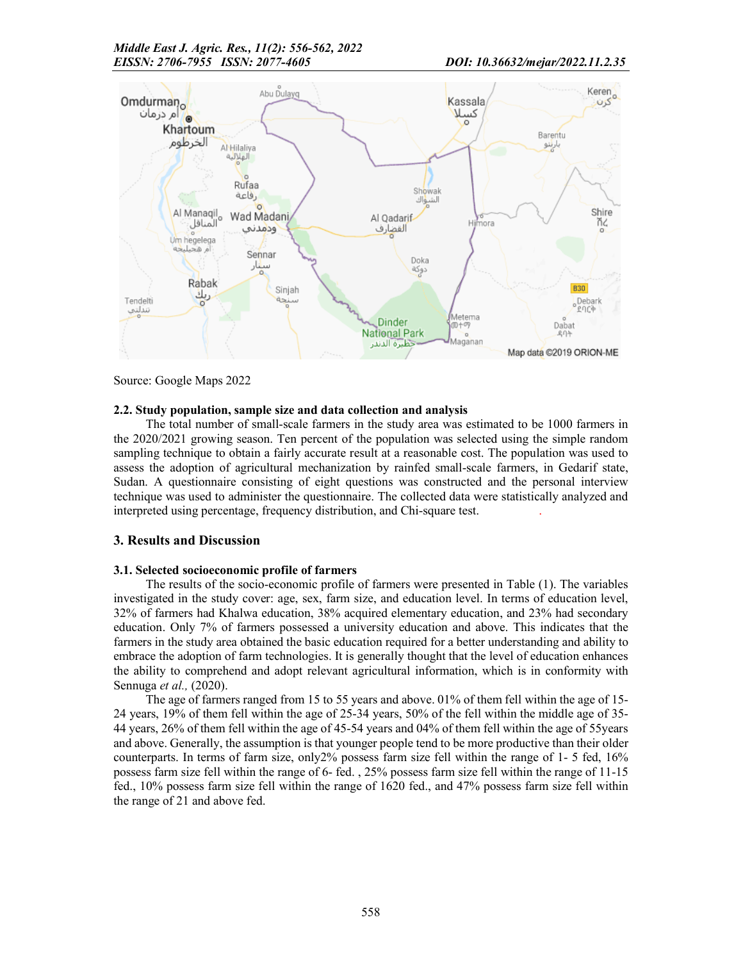

Source: Google Maps 2022

### 2.2. Study population, sample size and data collection and analysis

The total number of small-scale farmers in the study area was estimated to be 1000 farmers in the 2020/2021 growing season. Ten percent of the population was selected using the simple random sampling technique to obtain a fairly accurate result at a reasonable cost. The population was used to assess the adoption of agricultural mechanization by rainfed small-scale farmers, in Gedarif state, Sudan. A questionnaire consisting of eight questions was constructed and the personal interview technique was used to administer the questionnaire. The collected data were statistically analyzed and interpreted using percentage, frequency distribution, and Chi-square test. .

### 3. Results and Discussion

### 3.1. Selected socioeconomic profile of farmers

The results of the socio-economic profile of farmers were presented in Table (1). The variables investigated in the study cover: age, sex, farm size, and education level. In terms of education level, 32% of farmers had Khalwa education, 38% acquired elementary education, and 23% had secondary education. Only 7% of farmers possessed a university education and above. This indicates that the farmers in the study area obtained the basic education required for a better understanding and ability to embrace the adoption of farm technologies. It is generally thought that the level of education enhances the ability to comprehend and adopt relevant agricultural information, which is in conformity with Sennuga *et al.,* (2020).

The age of farmers ranged from 15 to 55 years and above. 01% of them fell within the age of 15- 24 years, 19% of them fell within the age of 25-34 years, 50% of the fell within the middle age of 35- 44 years, 26% of them fell within the age of 45-54 years and 04% of them fell within the age of 55years and above. Generally, the assumption is that younger people tend to be more productive than their older counterparts. In terms of farm size, only 2% possess farm size fell within the range of  $1-5$  fed,  $16\%$ possess farm size fell within the range of 6- fed. , 25% possess farm size fell within the range of 11-15 fed., 10% possess farm size fell within the range of 1620 fed., and 47% possess farm size fell within the range of 21 and above fed.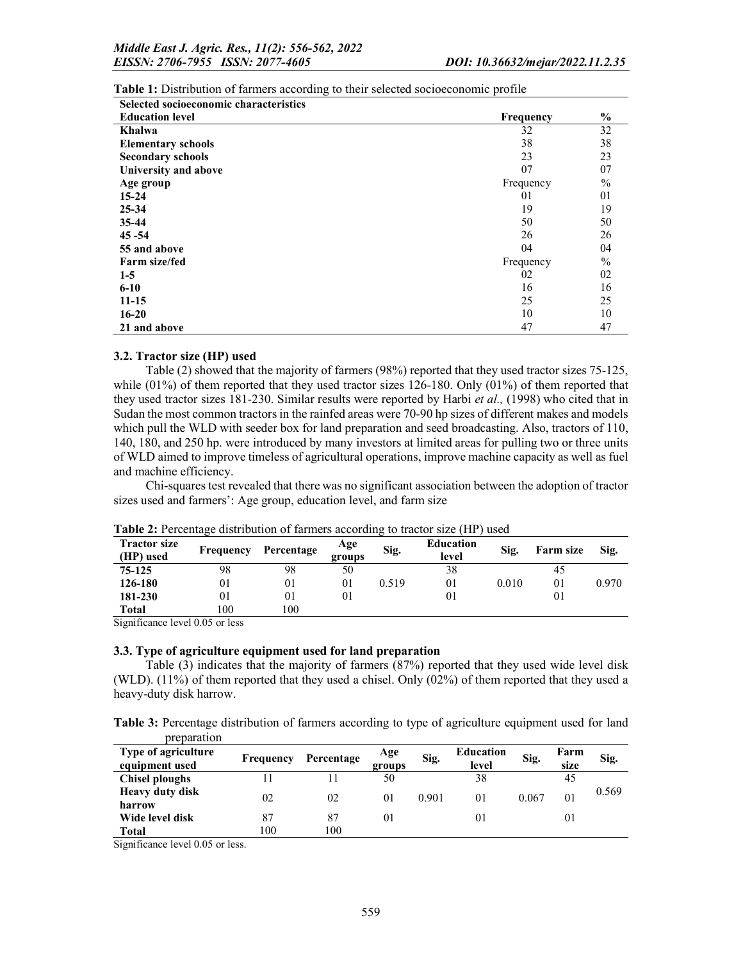| Selected socioeconomic characteristics |           |      |
|----------------------------------------|-----------|------|
| <b>Education level</b>                 | Frequency | $\%$ |
| Khalwa                                 | 32        | 32   |
| <b>Elementary schools</b>              | 38        | 38   |
| <b>Secondary schools</b>               | 23        | 23   |
| University and above                   | 07        | 07   |
| Age group                              | Frequency | $\%$ |
| $15 - 24$                              | 01        | 01   |
| $25 - 34$                              | 19        | 19   |
| $35 - 44$                              | 50        | 50   |
| $45 - 54$                              | 26        | 26   |
| 55 and above                           | 04        | 04   |
| <b>Farm size/fed</b>                   | Frequency | $\%$ |
| $1 - 5$                                | 02        | 02   |
| $6 - 10$                               | 16        | 16   |
| $11 - 15$                              | 25        | 25   |
| $16 - 20$                              | 10        | 10   |
| 21 and above                           | 47        | 47   |

Table 1: Distribution of farmers according to their selected socioeconomic profile

#### 3.2. Tractor size (HP) used

Table (2) showed that the majority of farmers (98%) reported that they used tractor sizes 75-125, while  $(01%)$  of them reported that they used tractor sizes 126-180. Only  $(01%)$  of them reported that they used tractor sizes 181-230. Similar results were reported by Harbi *et al.,* (1998) who cited that in Sudan the most common tractors in the rainfed areas were 70-90 hp sizes of different makes and models which pull the WLD with seeder box for land preparation and seed broadcasting. Also, tractors of 110, 140, 180, and 250 hp. were introduced by many investors at limited areas for pulling two or three units of WLD aimed to improve timeless of agricultural operations, improve machine capacity as well as fuel and machine efficiency.

Chi-squares test revealed that there was no significant association between the adoption of tractor sizes used and farmers': Age group, education level, and farm size

| <b>Tractor size</b><br>(HP) used | Frequency | Percentage | Age<br>groups | Sig.  | <b>Education</b><br>level | Sig.  | Farm size | Sig.  |
|----------------------------------|-----------|------------|---------------|-------|---------------------------|-------|-----------|-------|
| 75-125                           | 98        | 98         | 50            |       | 38                        |       | 45        |       |
| 126-180                          | 01        | 01         | 01            | 0.519 | 01                        | 0.010 | $\Omega$  | 0.970 |
| 181-230                          | 01        | 01         | 01            |       | 01                        |       |           |       |
| Total                            | 100       | 100        |               |       |                           |       |           |       |

Table 2: Percentage distribution of farmers according to tractor size (HP) used

Significance level 0.05 or less

#### 3.3. Type of agriculture equipment used for land preparation

Table (3) indicates that the majority of farmers (87%) reported that they used wide level disk (WLD). (11%) of them reported that they used a chisel. Only (02%) of them reported that they used a heavy-duty disk harrow.

Table 3: Percentage distribution of farmers according to type of agriculture equipment used for land preparation

| Type of agriculture<br>equipment used | Frequency | Percentage | Age<br>groups | Sig.  | <b>Education</b><br>level | Sig.  | Farm<br>size | Sig.  |
|---------------------------------------|-----------|------------|---------------|-------|---------------------------|-------|--------------|-------|
| Chisel ploughs                        |           |            | 50            |       | 38                        |       | 45           |       |
| <b>Heavy duty disk</b><br>harrow      | 02        | 02         | 01            | 0.901 | 01                        | 0.067 | 01           | 0.569 |
| Wide level disk                       | 87        | 87         | 01            |       | 01                        |       | $_{01}$      |       |
| <b>Total</b>                          | 100       | 100        |               |       |                           |       |              |       |

Significance level 0.05 or less.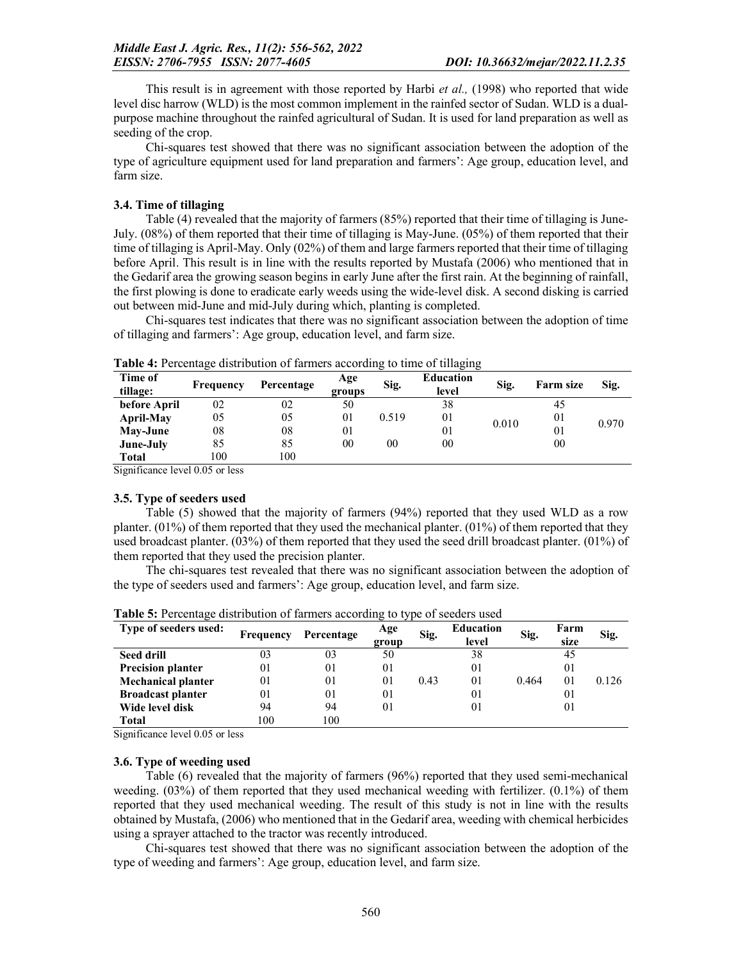This result is in agreement with those reported by Harbi *et al.,* (1998) who reported that wide level disc harrow (WLD) is the most common implement in the rainfed sector of Sudan. WLD is a dualpurpose machine throughout the rainfed agricultural of Sudan. It is used for land preparation as well as seeding of the crop.

Chi-squares test showed that there was no significant association between the adoption of the type of agriculture equipment used for land preparation and farmers': Age group, education level, and farm size.

#### 3.4. Time of tillaging

Table (4) revealed that the majority of farmers (85%) reported that their time of tillaging is June-July. (08%) of them reported that their time of tillaging is May-June. (05%) of them reported that their time of tillaging is April-May. Only (02%) of them and large farmers reported that their time of tillaging before April. This result is in line with the results reported by Mustafa (2006) who mentioned that in the Gedarif area the growing season begins in early June after the first rain. At the beginning of rainfall, the first plowing is done to eradicate early weeds using the wide-level disk. A second disking is carried out between mid-June and mid-July during which, planting is completed.

Chi-squares test indicates that there was no significant association between the adoption of time of tillaging and farmers': Age group, education level, and farm size.

| Time of<br>tillage: | Frequency | Percentage | Age<br>groups | Sig.  | <b>Education</b><br>level | Sig.  | Farm size      | Sig.  |
|---------------------|-----------|------------|---------------|-------|---------------------------|-------|----------------|-------|
| before April        | 02        | 02         | 50            |       | 38                        |       | 45             |       |
| April-May           | 05        | 05         | 01            | 0.519 | 01                        | 0.010 | 01             | 0.970 |
| May-June            | 08        | 08         | 01            |       | 01                        |       | 0 <sub>1</sub> |       |
| June-July           | 85        | 85         | 00            | 00    | 00                        |       | 00             |       |
| <b>Total</b>        | 100       | 100        |               |       |                           |       |                |       |

Table 4: Percentage distribution of farmers according to time of tillaging

Significance level 0.05 or less

#### 3.5. Type of seeders used

Table (5) showed that the majority of farmers (94%) reported that they used WLD as a row planter. (01%) of them reported that they used the mechanical planter. (01%) of them reported that they used broadcast planter. (03%) of them reported that they used the seed drill broadcast planter. (01%) of them reported that they used the precision planter.

The chi-squares test revealed that there was no significant association between the adoption of the type of seeders used and farmers': Age group, education level, and farm size.

| Type of seeders used:     | Frequency | Percentage     | Age<br>group | Sig. | <b>Education</b><br>level | Sig.  | Farm<br>size   | Sig.  |
|---------------------------|-----------|----------------|--------------|------|---------------------------|-------|----------------|-------|
| <b>Seed drill</b>         | 03        | 03             | 50           |      | 38                        |       | 45             |       |
| <b>Precision planter</b>  | 01        | 0 <sub>1</sub> | 01           |      | 01                        |       | 01             |       |
| <b>Mechanical planter</b> | 01        | 0 <sub>1</sub> | 01           | 0.43 | 01                        | 0.464 | 0 <sub>1</sub> | 0.126 |
| <b>Broadcast planter</b>  | 01        | 0 <sub>1</sub> | 01           |      | 0 <sub>1</sub>            |       | 01             |       |
| Wide level disk           | 94        | 94             | 01           |      | 0 <sub>1</sub>            |       | 01             |       |
| <b>Total</b>              | 100       | 100            |              |      |                           |       |                |       |

Table 5: Percentage distribution of farmers according to type of seeders used

Significance level 0.05 or less

#### 3.6. Type of weeding used

Table (6) revealed that the majority of farmers (96%) reported that they used semi-mechanical weeding. (03%) of them reported that they used mechanical weeding with fertilizer. (0.1%) of them reported that they used mechanical weeding. The result of this study is not in line with the results obtained by Mustafa, (2006) who mentioned that in the Gedarif area, weeding with chemical herbicides using a sprayer attached to the tractor was recently introduced.

Chi-squares test showed that there was no significant association between the adoption of the type of weeding and farmers': Age group, education level, and farm size.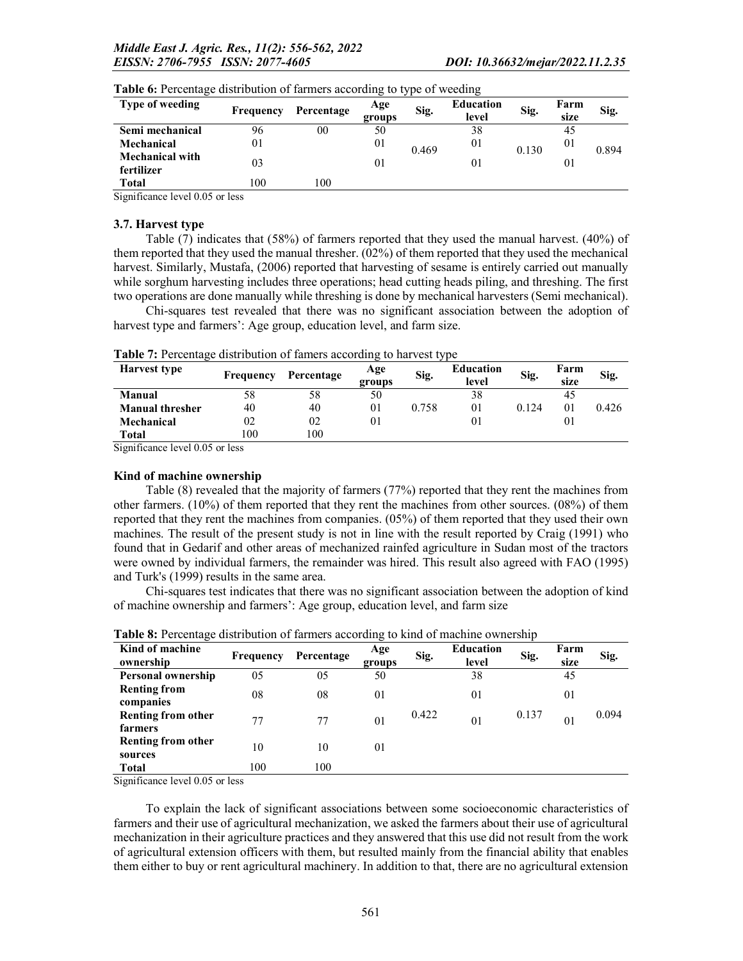| Type of weeding                      | Frequency | Percentage | Age<br>groups | Sig.  | <b>Education</b><br>level | Sig.  | Farm<br>size | Sig.  |
|--------------------------------------|-----------|------------|---------------|-------|---------------------------|-------|--------------|-------|
| Semi mechanical                      | 96        | 00         | 50            |       | 38                        |       | 45           |       |
| Mechanical                           | 01        |            | 01            | 0.469 | 01                        | 0.130 | 01           | 0.894 |
| <b>Mechanical with</b><br>fertilizer | 03        |            | $\Omega$      |       | 01                        |       | 01           |       |
| <b>Total</b>                         | 100       | 100        |               |       |                           |       |              |       |

|  |  | Table 6: Percentage distribution of farmers according to type of weeding |  |
|--|--|--------------------------------------------------------------------------|--|
|  |  |                                                                          |  |

Significance level 0.05 or less

#### 3.7. Harvest type

Table (7) indicates that (58%) of farmers reported that they used the manual harvest. (40%) of them reported that they used the manual thresher. (02%) of them reported that they used the mechanical harvest. Similarly, Mustafa, (2006) reported that harvesting of sesame is entirely carried out manually while sorghum harvesting includes three operations; head cutting heads piling, and threshing. The first two operations are done manually while threshing is done by mechanical harvesters (Semi mechanical).

Chi-squares test revealed that there was no significant association between the adoption of harvest type and farmers': Age group, education level, and farm size.

Table 7: Percentage distribution of famers according to harvest type

| <b>Harvest type</b>    | Frequency | Percentage | Age<br>groups | Sig.  | <b>Education</b><br>level | Sig.    | Farm<br>size | Sig.  |
|------------------------|-----------|------------|---------------|-------|---------------------------|---------|--------------|-------|
| <b>Manual</b>          | 58        | 58         | 50            |       | 38                        |         | 45           |       |
| <b>Manual thresher</b> | 40        | 40         | 01            | 0.758 | 01                        | 0 1 2 4 | $_{01}$      | 0.426 |
| Mechanical             | 02        | 02         | 01            |       |                           |         | 01           |       |
| Total                  | .00       | 100        |               |       |                           |         |              |       |

Significance level 0.05 or less

#### Kind of machine ownership

Table (8) revealed that the majority of farmers (77%) reported that they rent the machines from other farmers. (10%) of them reported that they rent the machines from other sources. (08%) of them reported that they rent the machines from companies. (05%) of them reported that they used their own machines. The result of the present study is not in line with the result reported by Craig (1991) who found that in Gedarif and other areas of mechanized rainfed agriculture in Sudan most of the tractors were owned by individual farmers, the remainder was hired. This result also agreed with FAO (1995) and Turk's (1999) results in the same area.

Chi-squares test indicates that there was no significant association between the adoption of kind of machine ownership and farmers': Age group, education level, and farm size

| Kind of machine<br>ownership                                                 | <b>Frequency</b> | Percentage | Age<br>groups | Sig.  | <b>Education</b><br>level | Sig.  | Farm<br>size   | Sig.  |
|------------------------------------------------------------------------------|------------------|------------|---------------|-------|---------------------------|-------|----------------|-------|
| Personal ownership                                                           | 05               | 05         | 50            |       | 38                        |       | 45             |       |
| <b>Renting from</b><br>companies                                             | 08               | 08         | 01            |       | 0 <sub>1</sub>            |       | 01             |       |
| <b>Renting from other</b><br>farmers                                         | 77               | 77         | 01            | 0.422 | 0 <sub>1</sub>            | 0.137 | 0 <sub>1</sub> | 0.094 |
| Renting from other<br>sources                                                | 10               | 10         | 01            |       |                           |       |                |       |
| <b>Total</b>                                                                 | 100              | 100        |               |       |                           |       |                |       |
| $C: \ldots: C: \ldots \to 1 \to \ldots \to 1 \wedge C \to \ldots \to \ldots$ |                  |            |               |       |                           |       |                |       |

Table 8: Percentage distribution of farmers according to kind of machine ownership

Significance level 0.05 or less

To explain the lack of significant associations between some socioeconomic characteristics of farmers and their use of agricultural mechanization, we asked the farmers about their use of agricultural mechanization in their agriculture practices and they answered that this use did not result from the work of agricultural extension officers with them, but resulted mainly from the financial ability that enables them either to buy or rent agricultural machinery. In addition to that, there are no agricultural extension